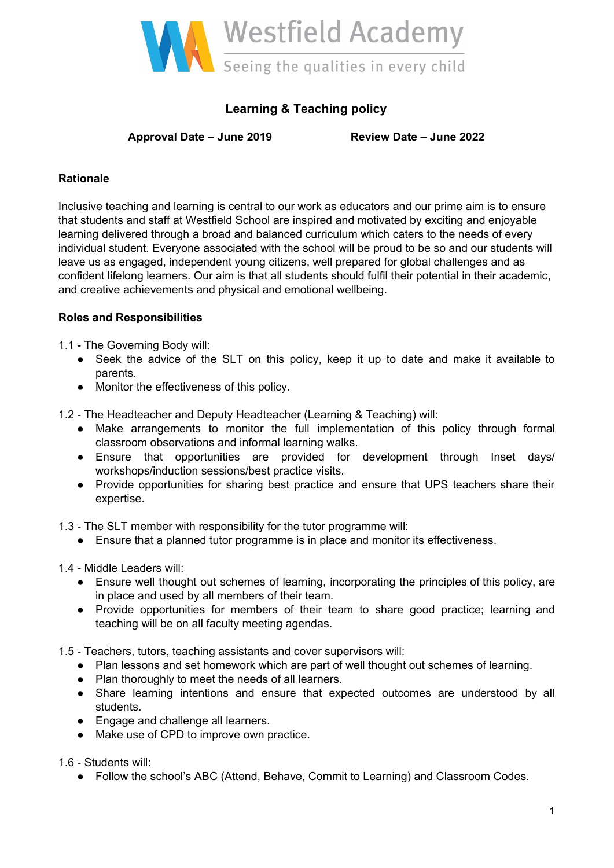

## **Learning & Teaching policy**

**Approval Date – June 2019 Review Date – June 2022**

### **Rationale**

Inclusive teaching and learning is central to our work as educators and our prime aim is to ensure that students and staff at Westfield School are inspired and motivated by exciting and enjoyable learning delivered through a broad and balanced curriculum which caters to the needs of every individual student. Everyone associated with the school will be proud to be so and our students will leave us as engaged, independent young citizens, well prepared for global challenges and as confident lifelong learners. Our aim is that all students should fulfil their potential in their academic, and creative achievements and physical and emotional wellbeing.

### **Roles and Responsibilities**

1.1 - The Governing Body will:

- Seek the advice of the SLT on this policy, keep it up to date and make it available to parents.
- Monitor the effectiveness of this policy.

1.2 - The Headteacher and Deputy Headteacher (Learning & Teaching) will:

- Make arrangements to monitor the full implementation of this policy through formal classroom observations and informal learning walks.
- Ensure that opportunities are provided for development through Inset days/ workshops/induction sessions/best practice visits.
- Provide opportunities for sharing best practice and ensure that UPS teachers share their expertise.

1.3 - The SLT member with responsibility for the tutor programme will:

● Ensure that a planned tutor programme is in place and monitor its effectiveness.

1.4 - Middle Leaders will:

- Ensure well thought out schemes of learning, incorporating the principles of this policy, are in place and used by all members of their team.
- Provide opportunities for members of their team to share good practice; learning and teaching will be on all faculty meeting agendas.

1.5 - Teachers, tutors, teaching assistants and cover supervisors will:

- Plan lessons and set homework which are part of well thought out schemes of learning.
- Plan thoroughly to meet the needs of all learners.
- Share learning intentions and ensure that expected outcomes are understood by all students.
- Engage and challenge all learners.
- Make use of CPD to improve own practice.

1.6 - Students will:

● Follow the school's ABC (Attend, Behave, Commit to Learning) and Classroom Codes.